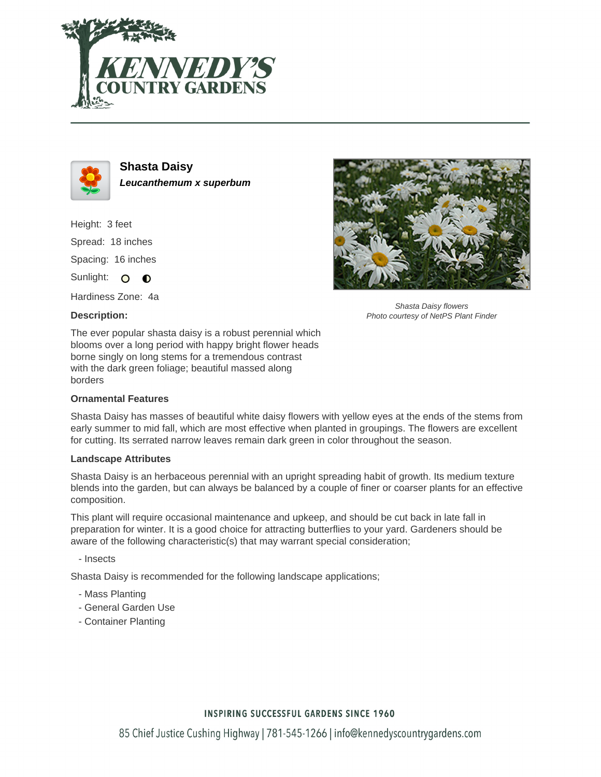



**Shasta Daisy Leucanthemum x superbum**

Height: 3 feet Spread: 18 inches Spacing: 16 inches Sunlight: O  $\bullet$ 

Hardiness Zone: 4a

### **Description:**



Shasta Daisy flowers Photo courtesy of NetPS Plant Finder

The ever popular shasta daisy is a robust perennial which blooms over a long period with happy bright flower heads borne singly on long stems for a tremendous contrast with the dark green foliage; beautiful massed along borders

#### **Ornamental Features**

Shasta Daisy has masses of beautiful white daisy flowers with yellow eyes at the ends of the stems from early summer to mid fall, which are most effective when planted in groupings. The flowers are excellent for cutting. Its serrated narrow leaves remain dark green in color throughout the season.

#### **Landscape Attributes**

Shasta Daisy is an herbaceous perennial with an upright spreading habit of growth. Its medium texture blends into the garden, but can always be balanced by a couple of finer or coarser plants for an effective composition.

This plant will require occasional maintenance and upkeep, and should be cut back in late fall in preparation for winter. It is a good choice for attracting butterflies to your yard. Gardeners should be aware of the following characteristic(s) that may warrant special consideration;

- Insects

Shasta Daisy is recommended for the following landscape applications;

- Mass Planting
- General Garden Use
- Container Planting

# **INSPIRING SUCCESSFUL GARDENS SINCE 1960**